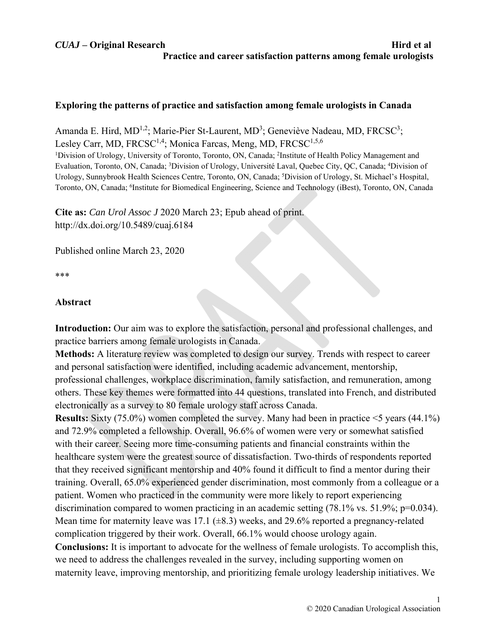# **Exploring the patterns of practice and satisfaction among female urologists in Canada**

Amanda E. Hird, MD<sup>1,2</sup>; Marie-Pier St-Laurent, MD<sup>3</sup>; Geneviève Nadeau, MD, FRCSC<sup>3</sup>; Lesley Carr, MD, FRCSC<sup>1,4</sup>; Monica Farcas, Meng, MD, FRCSC<sup>1,5,6</sup> <sup>1</sup>Division of Urology, University of Toronto, Toronto, ON, Canada; <sup>2</sup>Institute of Health Policy Management and Evaluation, Toronto, ON, Canada; <sup>3</sup>Division of Urology, Université Laval, Quebec City, QC, Canada; <sup>4</sup>Division of Urology, Sunnybrook Health Sciences Centre, Toronto, ON, Canada; <sup>5</sup>Division of Urology, St. Michael's Hospital, Toronto, ON, Canada; 6 Institute for Biomedical Engineering, Science and Technology (iBest), Toronto, ON, Canada

**Cite as:** *Can Urol Assoc J* 2020 March 23; Epub ahead of print. http://dx.doi.org/10.5489/cuaj.6184

Published online March 23, 2020

\*\*\*

# **Abstract**

**Introduction:** Our aim was to explore the satisfaction, personal and professional challenges, and practice barriers among female urologists in Canada.

**Methods:** A literature review was completed to design our survey. Trends with respect to career and personal satisfaction were identified, including academic advancement, mentorship, professional challenges, workplace discrimination, family satisfaction, and remuneration, among others. These key themes were formatted into 44 questions, translated into French, and distributed electronically as a survey to 80 female urology staff across Canada.

**Results:** Sixty (75.0%) women completed the survey. Many had been in practice <5 years (44.1%) and 72.9% completed a fellowship. Overall, 96.6% of women were very or somewhat satisfied with their career. Seeing more time-consuming patients and financial constraints within the healthcare system were the greatest source of dissatisfaction. Two-thirds of respondents reported that they received significant mentorship and 40% found it difficult to find a mentor during their training. Overall, 65.0% experienced gender discrimination, most commonly from a colleague or a patient. Women who practiced in the community were more likely to report experiencing discrimination compared to women practicing in an academic setting (78.1% vs. 51.9%; p=0.034). Mean time for maternity leave was 17.1 ( $\pm$ 8.3) weeks, and 29.6% reported a pregnancy-related complication triggered by their work. Overall, 66.1% would choose urology again. **Conclusions:** It is important to advocate for the wellness of female urologists. To accomplish this, we need to address the challenges revealed in the survey, including supporting women on maternity leave, improving mentorship, and prioritizing female urology leadership initiatives. We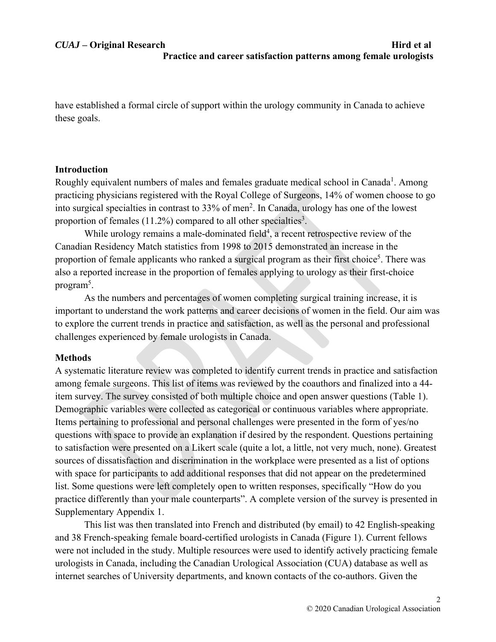have established a formal circle of support within the urology community in Canada to achieve these goals.

# **Introduction**

Roughly equivalent numbers of males and females graduate medical school in Canada<sup>1</sup>. Among practicing physicians registered with the Royal College of Surgeons, 14% of women choose to go into surgical specialties in contrast to 33% of men<sup>2</sup>. In Canada, urology has one of the lowest proportion of females  $(11.2%)$  compared to all other specialties<sup>3</sup>.

While urology remains a male-dominated field<sup>4</sup>, a recent retrospective review of the Canadian Residency Match statistics from 1998 to 2015 demonstrated an increase in the proportion of female applicants who ranked a surgical program as their first choice<sup>5</sup>. There was also a reported increase in the proportion of females applying to urology as their first-choice program<sup>5</sup>.

As the numbers and percentages of women completing surgical training increase, it is important to understand the work patterns and career decisions of women in the field. Our aim was to explore the current trends in practice and satisfaction, as well as the personal and professional challenges experienced by female urologists in Canada.

# **Methods**

A systematic literature review was completed to identify current trends in practice and satisfaction among female surgeons. This list of items was reviewed by the coauthors and finalized into a 44 item survey. The survey consisted of both multiple choice and open answer questions (Table 1). Demographic variables were collected as categorical or continuous variables where appropriate. Items pertaining to professional and personal challenges were presented in the form of yes/no questions with space to provide an explanation if desired by the respondent. Questions pertaining to satisfaction were presented on a Likert scale (quite a lot, a little, not very much, none). Greatest sources of dissatisfaction and discrimination in the workplace were presented as a list of options with space for participants to add additional responses that did not appear on the predetermined list. Some questions were left completely open to written responses, specifically "How do you practice differently than your male counterparts". A complete version of the survey is presented in Supplementary Appendix 1.

This list was then translated into French and distributed (by email) to 42 English-speaking and 38 French-speaking female board-certified urologists in Canada (Figure 1). Current fellows were not included in the study. Multiple resources were used to identify actively practicing female urologists in Canada, including the Canadian Urological Association (CUA) database as well as internet searches of University departments, and known contacts of the co-authors. Given the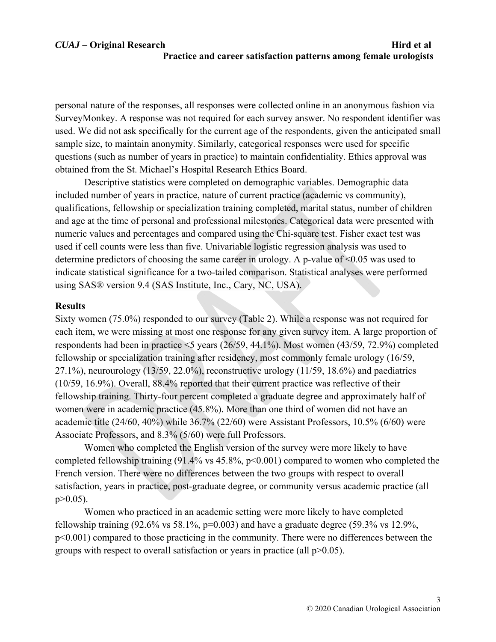personal nature of the responses, all responses were collected online in an anonymous fashion via SurveyMonkey. A response was not required for each survey answer. No respondent identifier was used. We did not ask specifically for the current age of the respondents, given the anticipated small sample size, to maintain anonymity. Similarly, categorical responses were used for specific questions (such as number of years in practice) to maintain confidentiality. Ethics approval was obtained from the St. Michael's Hospital Research Ethics Board.

Descriptive statistics were completed on demographic variables. Demographic data included number of years in practice, nature of current practice (academic vs community), qualifications, fellowship or specialization training completed, marital status, number of children and age at the time of personal and professional milestones. Categorical data were presented with numeric values and percentages and compared using the Chi-square test. Fisher exact test was used if cell counts were less than five. Univariable logistic regression analysis was used to determine predictors of choosing the same career in urology. A p-value of <0.05 was used to indicate statistical significance for a two-tailed comparison. Statistical analyses were performed using SAS® version 9.4 (SAS Institute, Inc., Cary, NC, USA).

## **Results**

Sixty women (75.0%) responded to our survey (Table 2). While a response was not required for each item, we were missing at most one response for any given survey item. A large proportion of respondents had been in practice <5 years (26/59, 44.1%). Most women (43/59, 72.9%) completed fellowship or specialization training after residency, most commonly female urology (16/59, 27.1%), neurourology (13/59, 22.0%), reconstructive urology (11/59, 18.6%) and paediatrics (10/59, 16.9%). Overall, 88.4% reported that their current practice was reflective of their fellowship training. Thirty-four percent completed a graduate degree and approximately half of women were in academic practice (45.8%). More than one third of women did not have an academic title (24/60, 40%) while 36.7% (22/60) were Assistant Professors, 10.5% (6/60) were Associate Professors, and 8.3% (5/60) were full Professors.

 Women who completed the English version of the survey were more likely to have completed fellowship training  $(91.4\% \text{ vs } 45.8\%, \text{ p} < 0.001)$  compared to women who completed the French version. There were no differences between the two groups with respect to overall satisfaction, years in practice, post-graduate degree, or community versus academic practice (all p>0.05).

 Women who practiced in an academic setting were more likely to have completed fellowship training  $(92.6\% \text{ vs } 58.1\%, \text{p=0.003})$  and have a graduate degree  $(59.3\% \text{ vs } 12.9\%, \text{p=0.003})$ p<0.001) compared to those practicing in the community. There were no differences between the groups with respect to overall satisfaction or years in practice (all  $p>0.05$ ).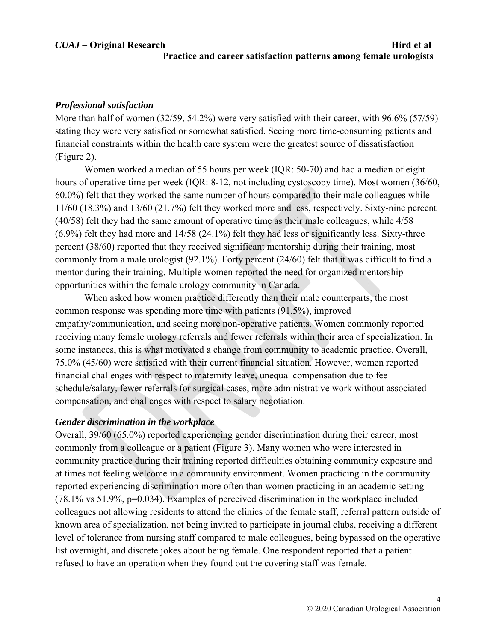## *Professional satisfaction*

More than half of women (32/59, 54.2%) were very satisfied with their career, with 96.6% (57/59) stating they were very satisfied or somewhat satisfied. Seeing more time-consuming patients and financial constraints within the health care system were the greatest source of dissatisfaction (Figure 2).

 Women worked a median of 55 hours per week (IQR: 50-70) and had a median of eight hours of operative time per week (IQR: 8-12, not including cystoscopy time). Most women (36/60, 60.0%) felt that they worked the same number of hours compared to their male colleagues while 11/60 (18.3%) and 13/60 (21.7%) felt they worked more and less, respectively. Sixty-nine percent (40/58) felt they had the same amount of operative time as their male colleagues, while 4/58 (6.9%) felt they had more and 14/58 (24.1%) felt they had less or significantly less. Sixty-three percent (38/60) reported that they received significant mentorship during their training, most commonly from a male urologist (92.1%). Forty percent (24/60) felt that it was difficult to find a mentor during their training. Multiple women reported the need for organized mentorship opportunities within the female urology community in Canada.

 When asked how women practice differently than their male counterparts, the most common response was spending more time with patients (91.5%), improved empathy/communication, and seeing more non-operative patients. Women commonly reported receiving many female urology referrals and fewer referrals within their area of specialization. In some instances, this is what motivated a change from community to academic practice. Overall, 75.0% (45/60) were satisfied with their current financial situation. However, women reported financial challenges with respect to maternity leave, unequal compensation due to fee schedule/salary, fewer referrals for surgical cases, more administrative work without associated compensation, and challenges with respect to salary negotiation.

### *Gender discrimination in the workplace*

Overall, 39/60 (65.0%) reported experiencing gender discrimination during their career, most commonly from a colleague or a patient (Figure 3). Many women who were interested in community practice during their training reported difficulties obtaining community exposure and at times not feeling welcome in a community environment. Women practicing in the community reported experiencing discrimination more often than women practicing in an academic setting (78.1% vs 51.9%, p=0.034). Examples of perceived discrimination in the workplace included colleagues not allowing residents to attend the clinics of the female staff, referral pattern outside of known area of specialization, not being invited to participate in journal clubs, receiving a different level of tolerance from nursing staff compared to male colleagues, being bypassed on the operative list overnight, and discrete jokes about being female. One respondent reported that a patient refused to have an operation when they found out the covering staff was female.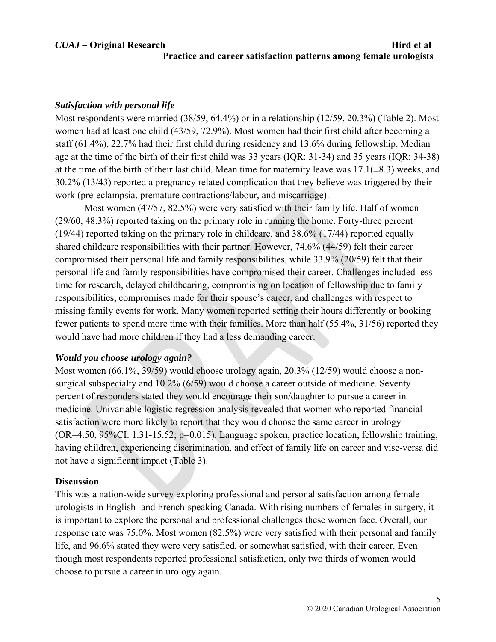## *Satisfaction with personal life*

Most respondents were married (38/59, 64.4%) or in a relationship (12/59, 20.3%) (Table 2). Most women had at least one child (43/59, 72.9%). Most women had their first child after becoming a staff (61.4%), 22.7% had their first child during residency and 13.6% during fellowship. Median age at the time of the birth of their first child was 33 years (IQR: 31-34) and 35 years (IQR: 34-38) at the time of the birth of their last child. Mean time for maternity leave was  $17.1(\pm 8.3)$  weeks, and 30.2% (13/43) reported a pregnancy related complication that they believe was triggered by their work (pre-eclampsia, premature contractions/labour, and miscarriage).

 Most women (47/57, 82.5%) were very satisfied with their family life. Half of women (29/60, 48.3%) reported taking on the primary role in running the home. Forty-three percent (19/44) reported taking on the primary role in childcare, and 38.6% (17/44) reported equally shared childcare responsibilities with their partner. However, 74.6% (44/59) felt their career compromised their personal life and family responsibilities, while 33.9% (20/59) felt that their personal life and family responsibilities have compromised their career. Challenges included less time for research, delayed childbearing, compromising on location of fellowship due to family responsibilities, compromises made for their spouse's career, and challenges with respect to missing family events for work. Many women reported setting their hours differently or booking fewer patients to spend more time with their families. More than half (55.4%, 31/56) reported they would have had more children if they had a less demanding career.

# *Would you choose urology again?*

Most women (66.1%, 39/59) would choose urology again, 20.3% (12/59) would choose a nonsurgical subspecialty and 10.2% (6/59) would choose a career outside of medicine. Seventy percent of responders stated they would encourage their son/daughter to pursue a career in medicine. Univariable logistic regression analysis revealed that women who reported financial satisfaction were more likely to report that they would choose the same career in urology (OR=4.50, 95%CI: 1.31-15.52; p=0.015). Language spoken, practice location, fellowship training, having children, experiencing discrimination, and effect of family life on career and vise-versa did not have a significant impact (Table 3).

### **Discussion**

This was a nation-wide survey exploring professional and personal satisfaction among female urologists in English- and French-speaking Canada. With rising numbers of females in surgery, it is important to explore the personal and professional challenges these women face. Overall, our response rate was 75.0%. Most women (82.5%) were very satisfied with their personal and family life, and 96.6% stated they were very satisfied, or somewhat satisfied, with their career. Even though most respondents reported professional satisfaction, only two thirds of women would choose to pursue a career in urology again.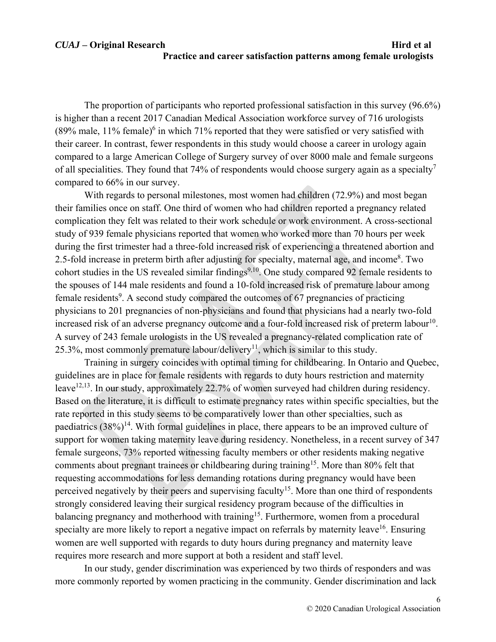# *CUAJ* – Original Research **Hird et al Practice and career satisfaction patterns among female urologists**

The proportion of participants who reported professional satisfaction in this survey (96.6%) is higher than a recent 2017 Canadian Medical Association workforce survey of 716 urologists (89% male,  $11\%$  female)<sup>6</sup> in which 71% reported that they were satisfied or very satisfied with their career. In contrast, fewer respondents in this study would choose a career in urology again compared to a large American College of Surgery survey of over 8000 male and female surgeons of all specialities. They found that 74% of respondents would choose surgery again as a specialty<sup>7</sup> compared to 66% in our survey.

With regards to personal milestones, most women had children (72.9%) and most began their families once on staff. One third of women who had children reported a pregnancy related complication they felt was related to their work schedule or work environment. A cross-sectional study of 939 female physicians reported that women who worked more than 70 hours per week during the first trimester had a three-fold increased risk of experiencing a threatened abortion and 2.5-fold increase in preterm birth after adjusting for specialty, maternal age, and income<sup>8</sup>. Two cohort studies in the US revealed similar findings<sup>9,10</sup>. One study compared 92 female residents to the spouses of 144 male residents and found a 10-fold increased risk of premature labour among female residents<sup>9</sup>. A second study compared the outcomes of 67 pregnancies of practicing physicians to 201 pregnancies of non-physicians and found that physicians had a nearly two-fold increased risk of an adverse pregnancy outcome and a four-fold increased risk of preterm labour<sup>10</sup>. A survey of 243 female urologists in the US revealed a pregnancy-related complication rate of 25.3%, most commonly premature labour/delivery<sup>11</sup>, which is similar to this study.

Training in surgery coincides with optimal timing for childbearing. In Ontario and Quebec, guidelines are in place for female residents with regards to duty hours restriction and maternity leave<sup>12,13</sup>. In our study, approximately 22.7% of women surveyed had children during residency. Based on the literature, it is difficult to estimate pregnancy rates within specific specialties, but the rate reported in this study seems to be comparatively lower than other specialties, such as paediatrics  $(38\%)^{14}$ . With formal guidelines in place, there appears to be an improved culture of support for women taking maternity leave during residency. Nonetheless, in a recent survey of 347 female surgeons, 73% reported witnessing faculty members or other residents making negative comments about pregnant trainees or childbearing during training<sup>15</sup>. More than 80% felt that requesting accommodations for less demanding rotations during pregnancy would have been perceived negatively by their peers and supervising faculty<sup>15</sup>. More than one third of respondents strongly considered leaving their surgical residency program because of the difficulties in balancing pregnancy and motherhood with training<sup>15</sup>. Furthermore, women from a procedural specialty are more likely to report a negative impact on referrals by maternity leave<sup>16</sup>. Ensuring women are well supported with regards to duty hours during pregnancy and maternity leave requires more research and more support at both a resident and staff level.

In our study, gender discrimination was experienced by two thirds of responders and was more commonly reported by women practicing in the community. Gender discrimination and lack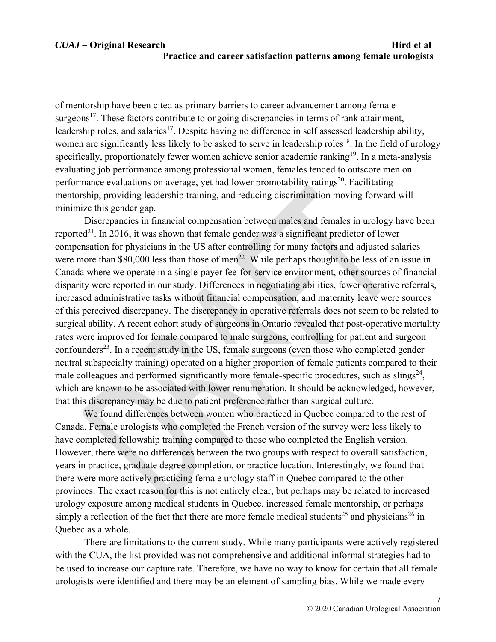of mentorship have been cited as primary barriers to career advancement among female surgeons<sup>17</sup>. These factors contribute to ongoing discrepancies in terms of rank attainment, leadership roles, and salaries<sup>17</sup>. Despite having no difference in self assessed leadership ability, women are significantly less likely to be asked to serve in leadership roles<sup>18</sup>. In the field of urology specifically, proportionately fewer women achieve senior academic ranking<sup>19</sup>. In a meta-analysis evaluating job performance among professional women, females tended to outscore men on performance evaluations on average, yet had lower promotability ratings $20$ . Facilitating mentorship, providing leadership training, and reducing discrimination moving forward will minimize this gender gap.

Discrepancies in financial compensation between males and females in urology have been reported<sup>21</sup>. In 2016, it was shown that female gender was a significant predictor of lower compensation for physicians in the US after controlling for many factors and adjusted salaries were more than \$80,000 less than those of men<sup>22</sup>. While perhaps thought to be less of an issue in Canada where we operate in a single-payer fee-for-service environment, other sources of financial disparity were reported in our study. Differences in negotiating abilities, fewer operative referrals, increased administrative tasks without financial compensation, and maternity leave were sources of this perceived discrepancy. The discrepancy in operative referrals does not seem to be related to surgical ability. A recent cohort study of surgeons in Ontario revealed that post-operative mortality rates were improved for female compared to male surgeons, controlling for patient and surgeon confounders<sup>23</sup>. In a recent study in the US, female surgeons (even those who completed gender neutral subspecialty training) operated on a higher proportion of female patients compared to their male colleagues and performed significantly more female-specific procedures, such as  $\sin(3\pi^2)$ , which are known to be associated with lower renumeration. It should be acknowledged, however, that this discrepancy may be due to patient preference rather than surgical culture.

 We found differences between women who practiced in Quebec compared to the rest of Canada. Female urologists who completed the French version of the survey were less likely to have completed fellowship training compared to those who completed the English version. However, there were no differences between the two groups with respect to overall satisfaction, years in practice, graduate degree completion, or practice location. Interestingly, we found that there were more actively practicing female urology staff in Quebec compared to the other provinces. The exact reason for this is not entirely clear, but perhaps may be related to increased urology exposure among medical students in Quebec, increased female mentorship, or perhaps simply a reflection of the fact that there are more female medical students<sup>25</sup> and physicians<sup>26</sup> in Quebec as a whole.

There are limitations to the current study. While many participants were actively registered with the CUA, the list provided was not comprehensive and additional informal strategies had to be used to increase our capture rate. Therefore, we have no way to know for certain that all female urologists were identified and there may be an element of sampling bias. While we made every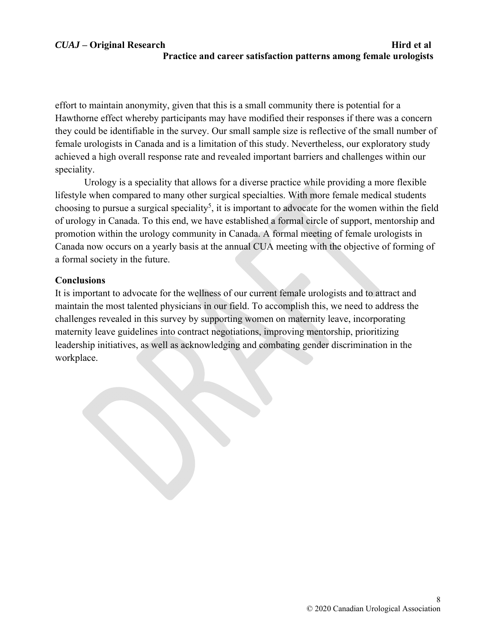effort to maintain anonymity, given that this is a small community there is potential for a Hawthorne effect whereby participants may have modified their responses if there was a concern they could be identifiable in the survey. Our small sample size is reflective of the small number of female urologists in Canada and is a limitation of this study. Nevertheless, our exploratory study achieved a high overall response rate and revealed important barriers and challenges within our speciality.

Urology is a speciality that allows for a diverse practice while providing a more flexible lifestyle when compared to many other surgical specialties. With more female medical students choosing to pursue a surgical speciality<sup>5</sup>, it is important to advocate for the women within the field of urology in Canada. To this end, we have established a formal circle of support, mentorship and promotion within the urology community in Canada. A formal meeting of female urologists in Canada now occurs on a yearly basis at the annual CUA meeting with the objective of forming of a formal society in the future.

## **Conclusions**

It is important to advocate for the wellness of our current female urologists and to attract and maintain the most talented physicians in our field. To accomplish this, we need to address the challenges revealed in this survey by supporting women on maternity leave, incorporating maternity leave guidelines into contract negotiations, improving mentorship, prioritizing leadership initiatives, as well as acknowledging and combating gender discrimination in the workplace.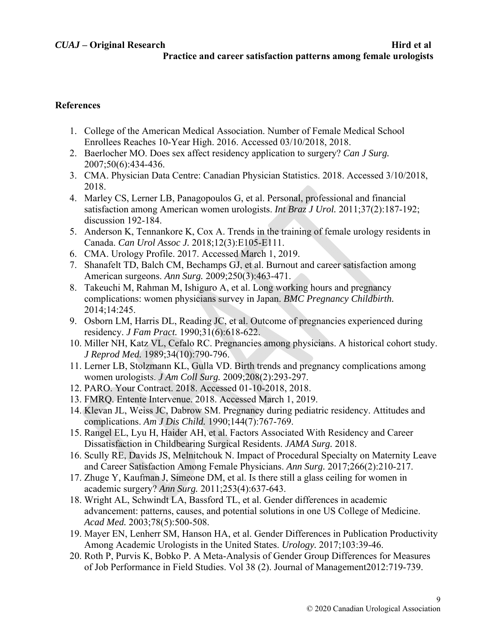# **References**

- 1. College of the American Medical Association. Number of Female Medical School Enrollees Reaches 10-Year High. 2016. Accessed 03/10/2018, 2018.
- 2. Baerlocher MO. Does sex affect residency application to surgery? *Can J Surg.*  2007;50(6):434-436.
- 3. CMA. Physician Data Centre: Canadian Physician Statistics. 2018. Accessed 3/10/2018, 2018.
- 4. Marley CS, Lerner LB, Panagopoulos G, et al. Personal, professional and financial satisfaction among American women urologists. *Int Braz J Urol.* 2011;37(2):187-192; discussion 192-184.
- 5. Anderson K, Tennankore K, Cox A. Trends in the training of female urology residents in Canada. *Can Urol Assoc J.* 2018;12(3):E105-E111.
- 6. CMA. Urology Profile. 2017. Accessed March 1, 2019.
- 7. Shanafelt TD, Balch CM, Bechamps GJ, et al. Burnout and career satisfaction among American surgeons. *Ann Surg.* 2009;250(3):463-471.
- 8. Takeuchi M, Rahman M, Ishiguro A, et al. Long working hours and pregnancy complications: women physicians survey in Japan. *BMC Pregnancy Childbirth.*  2014;14:245.
- 9. Osborn LM, Harris DL, Reading JC, et al. Outcome of pregnancies experienced during residency. *J Fam Pract.* 1990;31(6):618-622.
- 10. Miller NH, Katz VL, Cefalo RC. Pregnancies among physicians. A historical cohort study. *J Reprod Med.* 1989;34(10):790-796.
- 11. Lerner LB, Stolzmann KL, Gulla VD. Birth trends and pregnancy complications among women urologists. *J Am Coll Surg.* 2009;208(2):293-297.
- 12. PARO. Your Contract. 2018. Accessed 01-10-2018, 2018.
- 13. FMRQ. Entente Intervenue. 2018. Accessed March 1, 2019.
- 14. Klevan JL, Weiss JC, Dabrow SM. Pregnancy during pediatric residency. Attitudes and complications. *Am J Dis Child.* 1990;144(7):767-769.
- 15. Rangel EL, Lyu H, Haider AH, et al. Factors Associated With Residency and Career Dissatisfaction in Childbearing Surgical Residents. *JAMA Surg.* 2018.
- 16. Scully RE, Davids JS, Melnitchouk N. Impact of Procedural Specialty on Maternity Leave and Career Satisfaction Among Female Physicians. *Ann Surg.* 2017;266(2):210-217.
- 17. Zhuge Y, Kaufman J, Simeone DM, et al. Is there still a glass ceiling for women in academic surgery? *Ann Surg.* 2011;253(4):637-643.
- 18. Wright AL, Schwindt LA, Bassford TL, et al. Gender differences in academic advancement: patterns, causes, and potential solutions in one US College of Medicine. *Acad Med.* 2003;78(5):500-508.
- 19. Mayer EN, Lenherr SM, Hanson HA, et al. Gender Differences in Publication Productivity Among Academic Urologists in the United States. *Urology.* 2017;103:39-46.
- 20. Roth P, Purvis K, Bobko P. A Meta-Analysis of Gender Group Differences for Measures of Job Performance in Field Studies. Vol 38 (2). Journal of Management2012:719-739.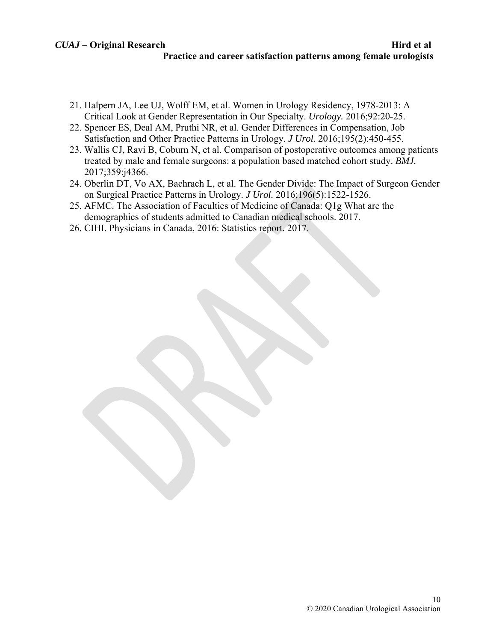- 21. Halpern JA, Lee UJ, Wolff EM, et al. Women in Urology Residency, 1978-2013: A Critical Look at Gender Representation in Our Specialty. *Urology.* 2016;92:20-25.
- 22. Spencer ES, Deal AM, Pruthi NR, et al. Gender Differences in Compensation, Job Satisfaction and Other Practice Patterns in Urology. *J Urol.* 2016;195(2):450-455.
- 23. Wallis CJ, Ravi B, Coburn N, et al. Comparison of postoperative outcomes among patients treated by male and female surgeons: a population based matched cohort study. *BMJ.*  2017;359:j4366.
- 24. Oberlin DT, Vo AX, Bachrach L, et al. The Gender Divide: The Impact of Surgeon Gender on Surgical Practice Patterns in Urology. *J Urol.* 2016;196(5):1522-1526.
- 25. AFMC. The Association of Faculties of Medicine of Canada: Q1g What are the demographics of students admitted to Canadian medical schools. 2017.
- 26. CIHI. Physicians in Canada, 2016: Statistics report. 2017.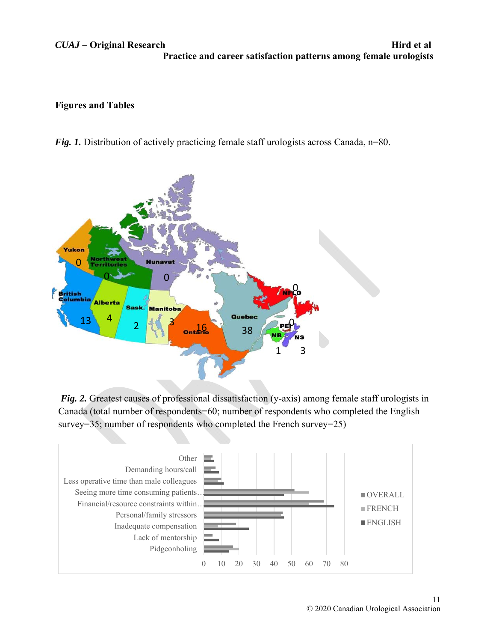*CUAJ* – Original Research **Hird et al Practice and career satisfaction patterns among female urologists** 

# **Figures and Tables**

*Fig. 1.* Distribution of actively practicing female staff urologists across Canada, n=80.



*Fig. 2.* Greatest causes of professional dissatisfaction (y-axis) among female staff urologists in Canada (total number of respondents=60; number of respondents who completed the English survey=35; number of respondents who completed the French survey=25)

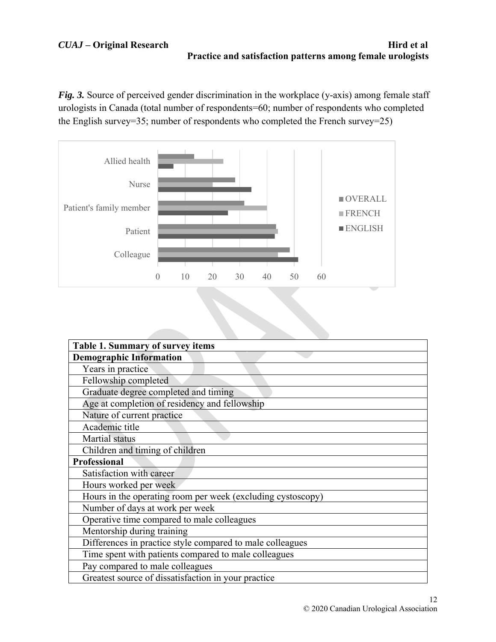*Fig. 3.* Source of perceived gender discrimination in the workplace (y-axis) among female staff urologists in Canada (total number of respondents=60; number of respondents who completed the English survey=35; number of respondents who completed the French survey=25)



| Table 1. Summary of survey items                            |
|-------------------------------------------------------------|
| <b>Demographic Information</b>                              |
| Years in practice                                           |
| Fellowship completed                                        |
| Graduate degree completed and timing                        |
| Age at completion of residency and fellowship               |
| Nature of current practice                                  |
| Academic title                                              |
| Martial status                                              |
| Children and timing of children                             |
| <b>Professional</b>                                         |
| Satisfaction with career                                    |
| Hours worked per week                                       |
| Hours in the operating room per week (excluding cystoscopy) |
| Number of days at work per week                             |
| Operative time compared to male colleagues                  |
| Mentorship during training                                  |
| Differences in practice style compared to male colleagues   |
| Time spent with patients compared to male colleagues        |
| Pay compared to male colleagues                             |
| Greatest source of dissatisfaction in your practice         |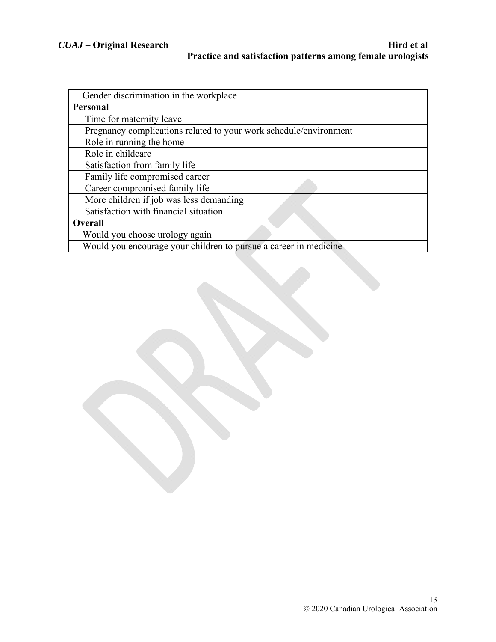| Gender discrimination in the workplace                            |
|-------------------------------------------------------------------|
| Personal                                                          |
| Time for maternity leave                                          |
| Pregnancy complications related to your work schedule/environment |
| Role in running the home                                          |
| Role in childcare                                                 |
| Satisfaction from family life                                     |
| Family life compromised career                                    |
| Career compromised family life                                    |
| More children if job was less demanding                           |
| Satisfaction with financial situation                             |
| <b>Overall</b>                                                    |
| Would you choose urology again                                    |
| Would you encourage your children to pursue a career in medicine  |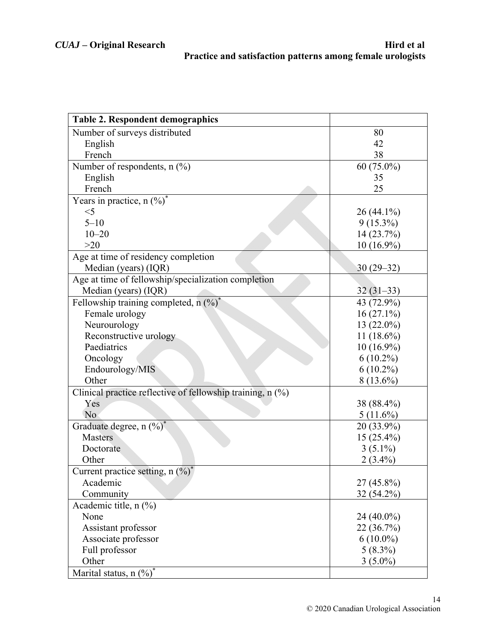| <b>Table 2. Respondent demographics</b>                    |              |
|------------------------------------------------------------|--------------|
| Number of surveys distributed                              | 80           |
| English                                                    | 42           |
| French                                                     | 38           |
| Number of respondents, $n$ (%)                             | 60 (75.0%)   |
| English                                                    | 35           |
| French                                                     | 25           |
| Years in practice, n $(\%)^*$                              |              |
| $<$ 5                                                      | $26(44.1\%)$ |
| $5 - 10$                                                   | $9(15.3\%)$  |
| $10 - 20$                                                  | 14 (23.7%)   |
| >20                                                        | $10(16.9\%)$ |
| Age at time of residency completion                        |              |
| Median (years) (IQR)                                       | $30(29-32)$  |
| Age at time of fellowship/specialization completion        |              |
| Median (years) (IQR)                                       | $32(31-33)$  |
| Fellowship training completed, $n$ (%) <sup>*</sup>        | 43 (72.9%)   |
| Female urology                                             | $16(27.1\%)$ |
| Neurourology                                               | $13(22.0\%)$ |
| Reconstructive urology                                     | $11(18.6\%)$ |
| Paediatrics                                                | $10(16.9\%)$ |
| Oncology                                                   | $6(10.2\%)$  |
| Endourology/MIS                                            | $6(10.2\%)$  |
| Other                                                      | $8(13.6\%)$  |
| Clinical practice reflective of fellowship training, n (%) |              |
| Yes                                                        | 38 (88.4%)   |
| No                                                         | $5(11.6\%)$  |
| Graduate degree, $n$ $(\%)^*$                              | 20 (33.9%)   |
| <b>Masters</b>                                             | $15(25.4\%)$ |
| Doctorate                                                  | $3(5.1\%)$   |
| Other                                                      | $2(3.4\%)$   |
| Current practice setting, n $(\frac{9}{6})^*$              |              |
| Academic                                                   | $27(45.8\%)$ |
| Community                                                  | 32 (54.2%)   |
| Academic title, $n$ $(\%)$                                 |              |
| None                                                       | 24 (40.0%)   |
| Assistant professor                                        | 22 (36.7%)   |
| Associate professor                                        | $6(10.0\%)$  |
| Full professor                                             | $5(8.3\%)$   |
| Other                                                      | $3(5.0\%)$   |
| Marital status, n (%)*                                     |              |